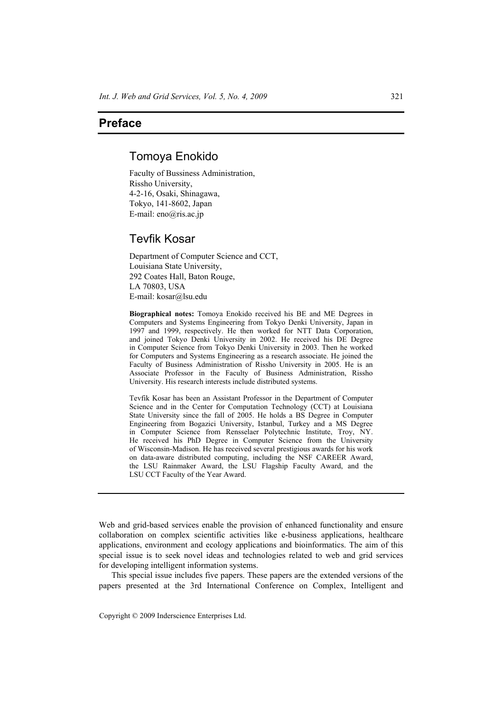## **Preface**

## Tomoya Enokido

Faculty of Bussiness Administration, Rissho University, 4-2-16, Osaki, Shinagawa, Tokyo, 141-8602, Japan E-mail: eno@ris.ac.jp

## Tevfik Kosar

Department of Computer Science and CCT, Louisiana State University, 292 Coates Hall, Baton Rouge, LA 70803, USA E-mail: kosar@lsu.edu

**Biographical notes:** Tomoya Enokido received his BE and ME Degrees in Computers and Systems Engineering from Tokyo Denki University, Japan in 1997 and 1999, respectively. He then worked for NTT Data Corporation, and joined Tokyo Denki University in 2002. He received his DE Degree in Computer Science from Tokyo Denki University in 2003. Then he worked for Computers and Systems Engineering as a research associate. He joined the Faculty of Business Administration of Rissho University in 2005. He is an Associate Professor in the Faculty of Business Administration, Rissho University. His research interests include distributed systems.

Tevfik Kosar has been an Assistant Professor in the Department of Computer Science and in the Center for Computation Technology (CCT) at Louisiana State University since the fall of 2005. He holds a BS Degree in Computer Engineering from Bogazici University, Istanbul, Turkey and a MS Degree in Computer Science from Rensselaer Polytechnic Institute, Troy, NY. He received his PhD Degree in Computer Science from the University of Wisconsin-Madison. He has received several prestigious awards for his work on data-aware distributed computing, including the NSF CAREER Award, the LSU Rainmaker Award, the LSU Flagship Faculty Award, and the LSU CCT Faculty of the Year Award.

This special issue includes five papers. These papers are the extended versions of the papers presented at the 3rd International Conference on Complex, Intelligent and

Web and grid-based services enable the provision of enhanced functionality and ensure collaboration on complex scientific activities like e-business applications, healthcare applications, environment and ecology applications and bioinformatics. The aim of this special issue is to seek novel ideas and technologies related to web and grid services for developing intelligent information systems.